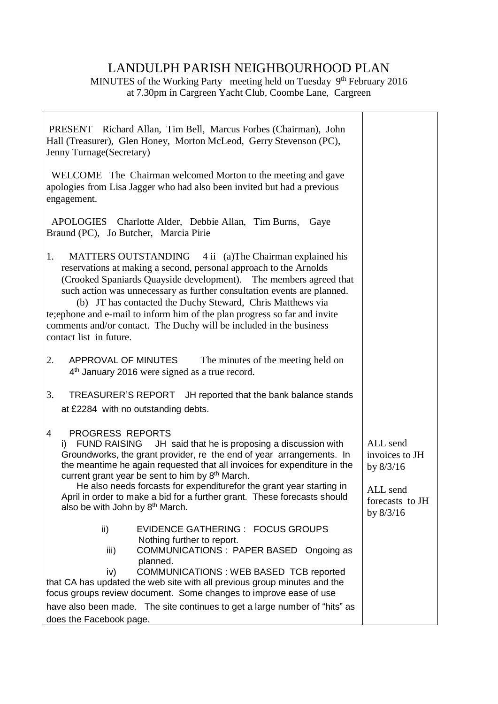## LANDULPH PARISH NEIGHBOURHOOD PLAN

MINUTES of the Working Party meeting held on Tuesday 9<sup>th</sup> February 2016 at 7.30pm in Cargreen Yacht Club, Coombe Lane, Cargreen

Г

٦

| PRESENT Richard Allan, Tim Bell, Marcus Forbes (Chairman), John<br>Hall (Treasurer), Glen Honey, Morton McLeod, Gerry Stevenson (PC),<br>Jenny Turnage (Secretary)                                                                                                                                                                                                                                                                                                                                                                |                                                                                         |
|-----------------------------------------------------------------------------------------------------------------------------------------------------------------------------------------------------------------------------------------------------------------------------------------------------------------------------------------------------------------------------------------------------------------------------------------------------------------------------------------------------------------------------------|-----------------------------------------------------------------------------------------|
| WELCOME The Chairman welcomed Morton to the meeting and gave<br>apologies from Lisa Jagger who had also been invited but had a previous<br>engagement.                                                                                                                                                                                                                                                                                                                                                                            |                                                                                         |
| APOLOGIES Charlotte Alder, Debbie Allan, Tim Burns, Gaye<br>Braund (PC), Jo Butcher, Marcia Pirie                                                                                                                                                                                                                                                                                                                                                                                                                                 |                                                                                         |
| MATTERS OUTSTANDING 4 ii (a) The Chairman explained his<br>1.<br>reservations at making a second, personal approach to the Arnolds<br>(Crooked Spaniards Quayside development). The members agreed that<br>such action was unnecessary as further consultation events are planned.<br>(b) JT has contacted the Duchy Steward, Chris Matthews via<br>te; ephone and e-mail to inform him of the plan progress so far and invite<br>comments and/or contact. The Duchy will be included in the business<br>contact list in future.  |                                                                                         |
| 2.<br>APPROVAL OF MINUTES<br>The minutes of the meeting held on<br>4 <sup>th</sup> January 2016 were signed as a true record.                                                                                                                                                                                                                                                                                                                                                                                                     |                                                                                         |
| 3.<br>TREASURER'S REPORT JH reported that the bank balance stands<br>at £2284 with no outstanding debts.                                                                                                                                                                                                                                                                                                                                                                                                                          |                                                                                         |
| <b>PROGRESS REPORTS</b><br>4<br><b>FUND RAISING</b><br>JH said that he is proposing a discussion with<br>i)<br>Groundworks, the grant provider, re the end of year arrangements. In<br>the meantime he again requested that all invoices for expenditure in the<br>current grant year be sent to him by 8 <sup>th</sup> March.<br>He also needs forcasts for expenditurefor the grant year starting in<br>April in order to make a bid for a further grant. These forecasts should<br>also be with John by 8 <sup>th</sup> March. | ALL send<br>invoices to JH<br>by $8/3/16$<br>ALL send<br>forecasts to JH<br>by $8/3/16$ |
| ii)<br>EVIDENCE GATHERING : FOCUS GROUPS<br>Nothing further to report.<br>COMMUNICATIONS: PAPER BASED Ongoing as<br>iii)<br>planned.<br>COMMUNICATIONS : WEB BASED TCB reported<br>iv)<br>that CA has updated the web site with all previous group minutes and the<br>focus groups review document. Some changes to improve ease of use                                                                                                                                                                                           |                                                                                         |
| have also been made. The site continues to get a large number of "hits" as<br>does the Facebook page.                                                                                                                                                                                                                                                                                                                                                                                                                             |                                                                                         |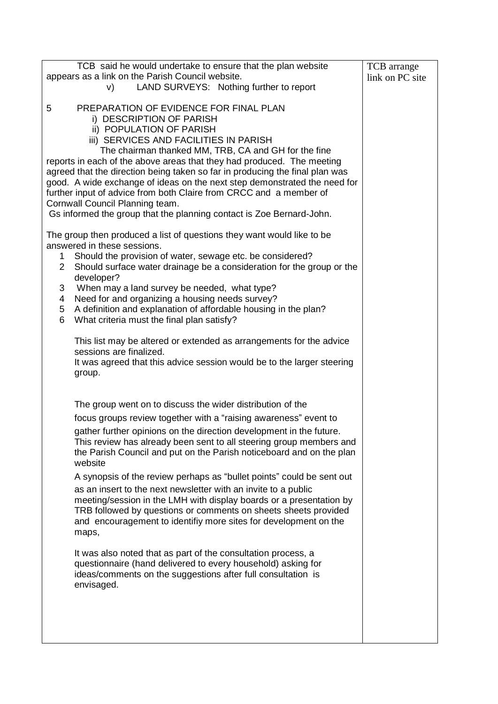| TCB said he would undertake to ensure that the plan website                          | TCB arrange     |
|--------------------------------------------------------------------------------------|-----------------|
| appears as a link on the Parish Council website.                                     | link on PC site |
| LAND SURVEYS: Nothing further to report<br>V)                                        |                 |
|                                                                                      |                 |
| PREPARATION OF EVIDENCE FOR FINAL PLAN<br>5                                          |                 |
| i) DESCRIPTION OF PARISH                                                             |                 |
| ii) POPULATION OF PARISH                                                             |                 |
| iii) SERVICES AND FACILITIES IN PARISH                                               |                 |
| The chairman thanked MM, TRB, CA and GH for the fine                                 |                 |
| reports in each of the above areas that they had produced. The meeting               |                 |
| agreed that the direction being taken so far in producing the final plan was         |                 |
| good. A wide exchange of ideas on the next step demonstrated the need for            |                 |
| further input of advice from both Claire from CRCC and a member of                   |                 |
| Cornwall Council Planning team.                                                      |                 |
| Gs informed the group that the planning contact is Zoe Bernard-John.                 |                 |
| The group then produced a list of questions they want would like to be               |                 |
| answered in these sessions.                                                          |                 |
| Should the provision of water, sewage etc. be considered?<br>1                       |                 |
| Should surface water drainage be a consideration for the group or the<br>$2^{\circ}$ |                 |
| developer?                                                                           |                 |
| When may a land survey be needed, what type?<br>3                                    |                 |
| Need for and organizing a housing needs survey?<br>4                                 |                 |
| A definition and explanation of affordable housing in the plan?<br>5                 |                 |
| 6<br>What criteria must the final plan satisfy?                                      |                 |
| This list may be altered or extended as arrangements for the advice                  |                 |
| sessions are finalized.                                                              |                 |
| It was agreed that this advice session would be to the larger steering               |                 |
| group.                                                                               |                 |
|                                                                                      |                 |
|                                                                                      |                 |
| The group went on to discuss the wider distribution of the                           |                 |
| focus groups review together with a "raising awareness" event to                     |                 |
| gather further opinions on the direction development in the future.                  |                 |
| This review has already been sent to all steering group members and                  |                 |
| the Parish Council and put on the Parish noticeboard and on the plan                 |                 |
| website                                                                              |                 |
| A synopsis of the review perhaps as "bullet points" could be sent out                |                 |
| as an insert to the next newsletter with an invite to a public                       |                 |
| meeting/session in the LMH with display boards or a presentation by                  |                 |
| TRB followed by questions or comments on sheets sheets provided                      |                 |
| and encouragement to identifiy more sites for development on the                     |                 |
| maps,                                                                                |                 |
| It was also noted that as part of the consultation process, a                        |                 |
| questionnaire (hand delivered to every household) asking for                         |                 |
| ideas/comments on the suggestions after full consultation is                         |                 |
| envisaged.                                                                           |                 |
|                                                                                      |                 |
|                                                                                      |                 |
|                                                                                      |                 |
|                                                                                      |                 |
|                                                                                      |                 |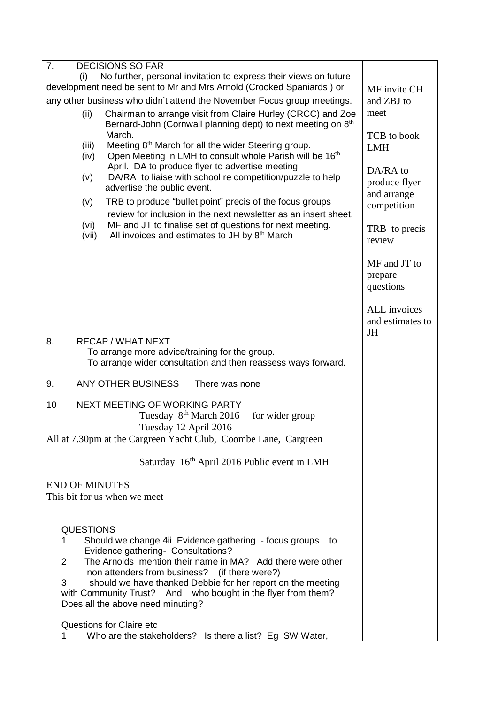| $\overline{7}$ .<br><b>DECISIONS SO FAR</b>                                                                                                              |                                               |
|----------------------------------------------------------------------------------------------------------------------------------------------------------|-----------------------------------------------|
| No further, personal invitation to express their views on future<br>(i)                                                                                  |                                               |
| development need be sent to Mr and Mrs Arnold (Crooked Spaniards) or                                                                                     | MF invite CH                                  |
| any other business who didn't attend the November Focus group meetings.                                                                                  | and ZBJ to                                    |
| Chairman to arrange visit from Claire Hurley (CRCC) and Zoe<br>(ii)<br>Bernard-John (Cornwall planning dept) to next meeting on 8 <sup>th</sup>          | meet                                          |
| March.                                                                                                                                                   | TCB to book                                   |
| Meeting 8 <sup>th</sup> March for all the wider Steering group.<br>(iii)<br>Open Meeting in LMH to consult whole Parish will be 16 <sup>th</sup><br>(iv) | <b>LMH</b>                                    |
| April. DA to produce flyer to advertise meeting                                                                                                          | DA/RA to                                      |
| DA/RA to liaise with school re competition/puzzle to help<br>(v)<br>advertise the public event.                                                          | produce flyer<br>and arrange                  |
| TRB to produce "bullet point" precis of the focus groups<br>(v)<br>review for inclusion in the next newsletter as an insert sheet.                       | competition                                   |
| MF and JT to finalise set of questions for next meeting.<br>(vi)                                                                                         |                                               |
| All invoices and estimates to JH by 8th March<br>(vii)                                                                                                   | TRB to precis<br>review                       |
|                                                                                                                                                          | MF and JT to                                  |
|                                                                                                                                                          | prepare<br>questions                          |
|                                                                                                                                                          |                                               |
|                                                                                                                                                          | ALL invoices<br>and estimates to<br><b>JH</b> |
| 8.<br><b>RECAP / WHAT NEXT</b>                                                                                                                           |                                               |
| To arrange more advice/training for the group.                                                                                                           |                                               |
| To arrange wider consultation and then reassess ways forward.                                                                                            |                                               |
| 9.<br><b>ANY OTHER BUSINESS</b><br>There was none                                                                                                        |                                               |
| NEXT MEETING OF WORKING PARTY<br>10<br>Tuesday 8 <sup>th</sup> March 2016<br>for wider group<br>Tuesday 12 April 2016                                    |                                               |
| All at 7.30pm at the Cargreen Yacht Club, Coombe Lane, Cargreen                                                                                          |                                               |
| Saturday 16 <sup>th</sup> April 2016 Public event in LMH                                                                                                 |                                               |
| <b>END OF MINUTES</b>                                                                                                                                    |                                               |
| This bit for us when we meet                                                                                                                             |                                               |
|                                                                                                                                                          |                                               |
| <b>QUESTIONS</b><br>Should we change 4ii Evidence gathering - focus groups to<br>1                                                                       |                                               |
| Evidence gathering- Consultations?<br>The Arnolds mention their name in MA? Add there were other<br>$\overline{2}$                                       |                                               |
| non attenders from business? (if there were?)                                                                                                            |                                               |
| should we have thanked Debbie for her report on the meeting<br>3<br>with Community Trust? And who bought in the flyer from them?                         |                                               |
| Does all the above need minuting?                                                                                                                        |                                               |
| <b>Questions for Claire etc</b>                                                                                                                          |                                               |
| Who are the stakeholders? Is there a list? Eg SW Water,<br>1                                                                                             |                                               |